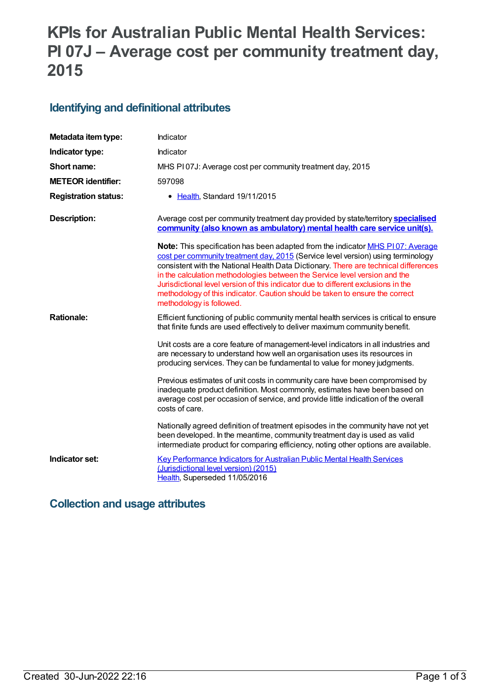# **KPIs for Australian Public Mental Health Services: PI 07J – Average cost per community treatment day, 2015**

### **Identifying and definitional attributes**

| Metadata item type:         | Indicator                                                                                                                                                                                                                                                                                                                                                                                                                                                                                                                                               |
|-----------------------------|---------------------------------------------------------------------------------------------------------------------------------------------------------------------------------------------------------------------------------------------------------------------------------------------------------------------------------------------------------------------------------------------------------------------------------------------------------------------------------------------------------------------------------------------------------|
| Indicator type:             | Indicator                                                                                                                                                                                                                                                                                                                                                                                                                                                                                                                                               |
| Short name:                 | MHS PI07J: Average cost per community treatment day, 2015                                                                                                                                                                                                                                                                                                                                                                                                                                                                                               |
| <b>METEOR identifier:</b>   | 597098                                                                                                                                                                                                                                                                                                                                                                                                                                                                                                                                                  |
| <b>Registration status:</b> | Health, Standard 19/11/2015<br>$\bullet$                                                                                                                                                                                                                                                                                                                                                                                                                                                                                                                |
| <b>Description:</b>         | Average cost per community treatment day provided by state/territory <b>specialised</b><br>community (also known as ambulatory) mental health care service unit(s).                                                                                                                                                                                                                                                                                                                                                                                     |
|                             | <b>Note:</b> This specification has been adapted from the indicator <b>MHS P107: Average</b><br>cost per community treatment day, 2015 (Service level version) using terminology<br>consistent with the National Health Data Dictionary. There are technical differences<br>in the calculation methodologies between the Service level version and the<br>Jurisdictional level version of this indicator due to different exclusions in the<br>methodology of this indicator. Caution should be taken to ensure the correct<br>methodology is followed. |
| <b>Rationale:</b>           | Efficient functioning of public community mental health services is critical to ensure<br>that finite funds are used effectively to deliver maximum community benefit.                                                                                                                                                                                                                                                                                                                                                                                  |
|                             | Unit costs are a core feature of management-level indicators in all industries and<br>are necessary to understand how well an organisation uses its resources in<br>producing services. They can be fundamental to value for money judgments.                                                                                                                                                                                                                                                                                                           |
|                             | Previous estimates of unit costs in community care have been compromised by<br>inadequate product definition. Most commonly, estimates have been based on<br>average cost per occasion of service, and provide little indication of the overall<br>costs of care.                                                                                                                                                                                                                                                                                       |
|                             | Nationally agreed definition of treatment episodes in the community have not yet<br>been developed. In the meantime, community treatment day is used as valid<br>intermediate product for comparing efficiency, noting other options are available.                                                                                                                                                                                                                                                                                                     |
| Indicator set:              | <b>Key Performance Indicators for Australian Public Mental Health Services</b><br>(Jurisdictional level version) (2015)<br>Health, Superseded 11/05/2016                                                                                                                                                                                                                                                                                                                                                                                                |

#### **Collection and usage attributes**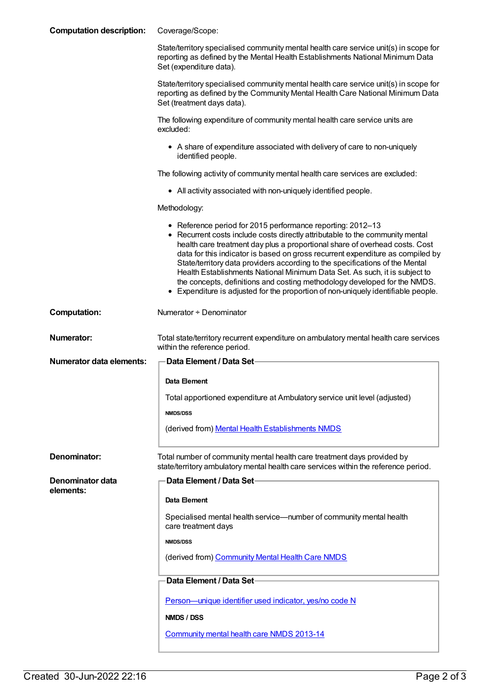| <b>Computation description:</b> | Coverage/Scope:                                                                                                                                                                                                                                                                                                                                                                                                                                                                                                                                                                                                                              |
|---------------------------------|----------------------------------------------------------------------------------------------------------------------------------------------------------------------------------------------------------------------------------------------------------------------------------------------------------------------------------------------------------------------------------------------------------------------------------------------------------------------------------------------------------------------------------------------------------------------------------------------------------------------------------------------|
|                                 | State/territory specialised community mental health care service unit(s) in scope for<br>reporting as defined by the Mental Health Establishments National Minimum Data<br>Set (expenditure data).                                                                                                                                                                                                                                                                                                                                                                                                                                           |
|                                 | State/territory specialised community mental health care service unit(s) in scope for<br>reporting as defined by the Community Mental Health Care National Minimum Data<br>Set (treatment days data).                                                                                                                                                                                                                                                                                                                                                                                                                                        |
|                                 | The following expenditure of community mental health care service units are<br>excluded:                                                                                                                                                                                                                                                                                                                                                                                                                                                                                                                                                     |
|                                 | • A share of expenditure associated with delivery of care to non-uniquely<br>identified people.                                                                                                                                                                                                                                                                                                                                                                                                                                                                                                                                              |
|                                 | The following activity of community mental health care services are excluded:                                                                                                                                                                                                                                                                                                                                                                                                                                                                                                                                                                |
|                                 | • All activity associated with non-uniquely identified people.                                                                                                                                                                                                                                                                                                                                                                                                                                                                                                                                                                               |
|                                 | Methodology:                                                                                                                                                                                                                                                                                                                                                                                                                                                                                                                                                                                                                                 |
|                                 | • Reference period for 2015 performance reporting: 2012-13<br>• Recurrent costs include costs directly attributable to the community mental<br>health care treatment day plus a proportional share of overhead costs. Cost<br>data for this indicator is based on gross recurrent expenditure as compiled by<br>State/territory data providers according to the specifications of the Mental<br>Health Establishments National Minimum Data Set. As such, it is subject to<br>the concepts, definitions and costing methodology developed for the NMDS.<br>• Expenditure is adjusted for the proportion of non-uniquely identifiable people. |
| <b>Computation:</b>             | Numerator + Denominator                                                                                                                                                                                                                                                                                                                                                                                                                                                                                                                                                                                                                      |
|                                 |                                                                                                                                                                                                                                                                                                                                                                                                                                                                                                                                                                                                                                              |
| <b>Numerator:</b>               | Total state/territory recurrent expenditure on ambulatory mental health care services<br>within the reference period.                                                                                                                                                                                                                                                                                                                                                                                                                                                                                                                        |
| Numerator data elements:        | Data Element / Data Set-                                                                                                                                                                                                                                                                                                                                                                                                                                                                                                                                                                                                                     |
|                                 | Data Element                                                                                                                                                                                                                                                                                                                                                                                                                                                                                                                                                                                                                                 |
|                                 | Total apportioned expenditure at Ambulatory service unit level (adjusted)                                                                                                                                                                                                                                                                                                                                                                                                                                                                                                                                                                    |
|                                 | <b>NMDS/DSS</b>                                                                                                                                                                                                                                                                                                                                                                                                                                                                                                                                                                                                                              |
|                                 | (derived from) Mental Health Establishments NMDS                                                                                                                                                                                                                                                                                                                                                                                                                                                                                                                                                                                             |
| Denominator:                    | Total number of community mental health care treatment days provided by<br>state/territory ambulatory mental health care services within the reference period.                                                                                                                                                                                                                                                                                                                                                                                                                                                                               |
| Denominator data                | <b>Data Element / Data Set-</b>                                                                                                                                                                                                                                                                                                                                                                                                                                                                                                                                                                                                              |
| elements:                       | Data Element                                                                                                                                                                                                                                                                                                                                                                                                                                                                                                                                                                                                                                 |
|                                 | Specialised mental health service—number of community mental health<br>care treatment days                                                                                                                                                                                                                                                                                                                                                                                                                                                                                                                                                   |
|                                 | <b>NMDS/DSS</b>                                                                                                                                                                                                                                                                                                                                                                                                                                                                                                                                                                                                                              |
|                                 | (derived from) Community Mental Health Care NMDS                                                                                                                                                                                                                                                                                                                                                                                                                                                                                                                                                                                             |
|                                 | Data Element / Data Set-                                                                                                                                                                                                                                                                                                                                                                                                                                                                                                                                                                                                                     |
|                                 | Person-unique identifier used indicator, yes/no code N                                                                                                                                                                                                                                                                                                                                                                                                                                                                                                                                                                                       |
|                                 | NMDS / DSS                                                                                                                                                                                                                                                                                                                                                                                                                                                                                                                                                                                                                                   |